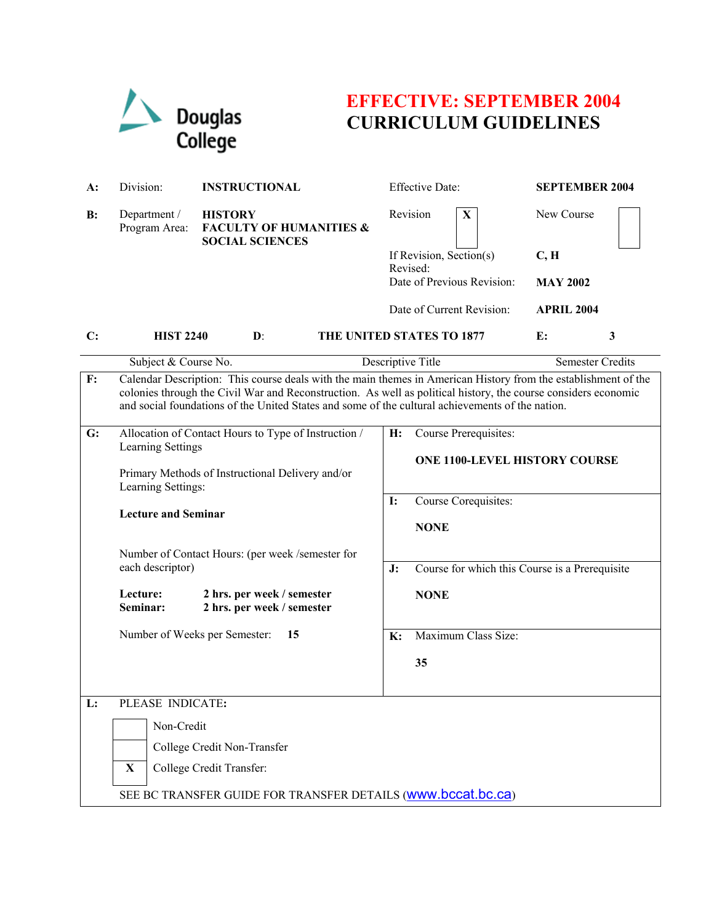

# **EFFECTIVE: SEPTEMBER 2004 CURRICULUM GUIDELINES**

| $A$ : | Division:                                                                                                                                                                                                                                                                                                                            | <b>INSTRUCTIONAL</b>                                                           | <b>Effective Date:</b>                               | <b>SEPTEMBER 2004</b>   |
|-------|--------------------------------------------------------------------------------------------------------------------------------------------------------------------------------------------------------------------------------------------------------------------------------------------------------------------------------------|--------------------------------------------------------------------------------|------------------------------------------------------|-------------------------|
| B:    | Department /<br>Program Area:                                                                                                                                                                                                                                                                                                        | <b>HISTORY</b><br><b>FACULTY OF HUMANITIES &amp;</b><br><b>SOCIAL SCIENCES</b> | Revision<br>$\mathbf{X}$                             | New Course              |
|       |                                                                                                                                                                                                                                                                                                                                      |                                                                                | If Revision, Section(s)                              | C, H                    |
|       |                                                                                                                                                                                                                                                                                                                                      |                                                                                | Revised:<br>Date of Previous Revision:               | <b>MAY 2002</b>         |
|       |                                                                                                                                                                                                                                                                                                                                      |                                                                                |                                                      |                         |
|       |                                                                                                                                                                                                                                                                                                                                      |                                                                                | Date of Current Revision:                            | <b>APRIL 2004</b>       |
| C:    | <b>HIST 2240</b>                                                                                                                                                                                                                                                                                                                     | $\mathbf{D}$ :                                                                 | THE UNITED STATES TO 1877                            | E:<br>3                 |
|       | Subject & Course No.                                                                                                                                                                                                                                                                                                                 |                                                                                | Descriptive Title                                    | <b>Semester Credits</b> |
| F:    | Calendar Description: This course deals with the main themes in American History from the establishment of the<br>colonies through the Civil War and Reconstruction. As well as political history, the course considers economic<br>and social foundations of the United States and some of the cultural achievements of the nation. |                                                                                |                                                      |                         |
| G:    |                                                                                                                                                                                                                                                                                                                                      | Allocation of Contact Hours to Type of Instruction /                           | H:<br>Course Prerequisites:                          |                         |
|       | Learning Settings                                                                                                                                                                                                                                                                                                                    |                                                                                | <b>ONE 1100-LEVEL HISTORY COURSE</b>                 |                         |
|       |                                                                                                                                                                                                                                                                                                                                      | Primary Methods of Instructional Delivery and/or                               |                                                      |                         |
|       | Learning Settings:                                                                                                                                                                                                                                                                                                                   |                                                                                | Course Corequisites:<br><b>I:</b>                    |                         |
|       | <b>Lecture and Seminar</b>                                                                                                                                                                                                                                                                                                           |                                                                                |                                                      |                         |
|       |                                                                                                                                                                                                                                                                                                                                      |                                                                                | <b>NONE</b>                                          |                         |
|       | Number of Contact Hours: (per week /semester for<br>each descriptor)                                                                                                                                                                                                                                                                 |                                                                                |                                                      |                         |
|       |                                                                                                                                                                                                                                                                                                                                      |                                                                                | Course for which this Course is a Prerequisite<br>J: |                         |
|       | Lecture:<br>Seminar:                                                                                                                                                                                                                                                                                                                 | 2 hrs. per week / semester<br>2 hrs. per week / semester                       | <b>NONE</b>                                          |                         |
|       |                                                                                                                                                                                                                                                                                                                                      | Number of Weeks per Semester:<br>15                                            | Maximum Class Size:<br>K:                            |                         |
|       |                                                                                                                                                                                                                                                                                                                                      |                                                                                | 35                                                   |                         |
|       |                                                                                                                                                                                                                                                                                                                                      |                                                                                |                                                      |                         |
| L:    | PLEASE INDICATE:                                                                                                                                                                                                                                                                                                                     |                                                                                |                                                      |                         |
|       | Non-Credit                                                                                                                                                                                                                                                                                                                           |                                                                                |                                                      |                         |
|       |                                                                                                                                                                                                                                                                                                                                      |                                                                                |                                                      |                         |
|       |                                                                                                                                                                                                                                                                                                                                      | College Credit Non-Transfer                                                    |                                                      |                         |
|       | College Credit Transfer:<br>$\mathbf X$                                                                                                                                                                                                                                                                                              |                                                                                |                                                      |                         |
|       | SEE BC TRANSFER GUIDE FOR TRANSFER DETAILS (WWW.bccat.bc.ca)                                                                                                                                                                                                                                                                         |                                                                                |                                                      |                         |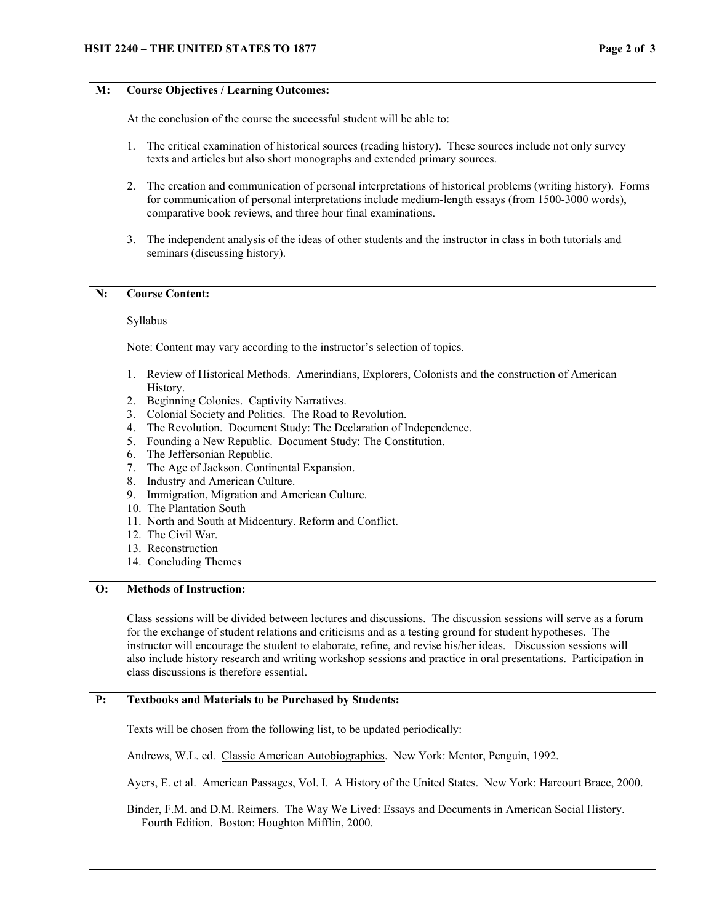### **M: Course Objectives / Learning Outcomes:**

At the conclusion of the course the successful student will be able to:

- 1. The critical examination of historical sources (reading history). These sources include not only survey texts and articles but also short monographs and extended primary sources.
- 2. The creation and communication of personal interpretations of historical problems (writing history). Forms for communication of personal interpretations include medium-length essays (from 1500-3000 words), comparative book reviews, and three hour final examinations.
- 3. The independent analysis of the ideas of other students and the instructor in class in both tutorials and seminars (discussing history).

#### **N: Course Content:**

#### Syllabus

Note: Content may vary according to the instructor's selection of topics.

- 1. Review of Historical Methods. Amerindians, Explorers, Colonists and the construction of American History.
- 2. Beginning Colonies. Captivity Narratives.
- 3. Colonial Society and Politics. The Road to Revolution.
- 4. The Revolution. Document Study: The Declaration of Independence.
- 5. Founding a New Republic. Document Study: The Constitution.
- 6. The Jeffersonian Republic.
- 7. The Age of Jackson. Continental Expansion.
- 8. Industry and American Culture.
- 9. Immigration, Migration and American Culture.
- 10. The Plantation South
- 11. North and South at Midcentury. Reform and Conflict.
- 12. The Civil War.
- 13. Reconstruction
- 14. Concluding Themes

## **O: Methods of Instruction:**

Class sessions will be divided between lectures and discussions. The discussion sessions will serve as a forum for the exchange of student relations and criticisms and as a testing ground for student hypotheses. The instructor will encourage the student to elaborate, refine, and revise his/her ideas. Discussion sessions will also include history research and writing workshop sessions and practice in oral presentations. Participation in class discussions is therefore essential.

#### **P: Textbooks and Materials to be Purchased by Students:**

Texts will be chosen from the following list, to be updated periodically:

Andrews, W.L. ed. Classic American Autobiographies. New York: Mentor, Penguin, 1992.

Ayers, E. et al. American Passages, Vol. I. A History of the United States. New York: Harcourt Brace, 2000.

Binder, F.M. and D.M. Reimers. The Way We Lived: Essays and Documents in American Social History. Fourth Edition. Boston: Houghton Mifflin, 2000.